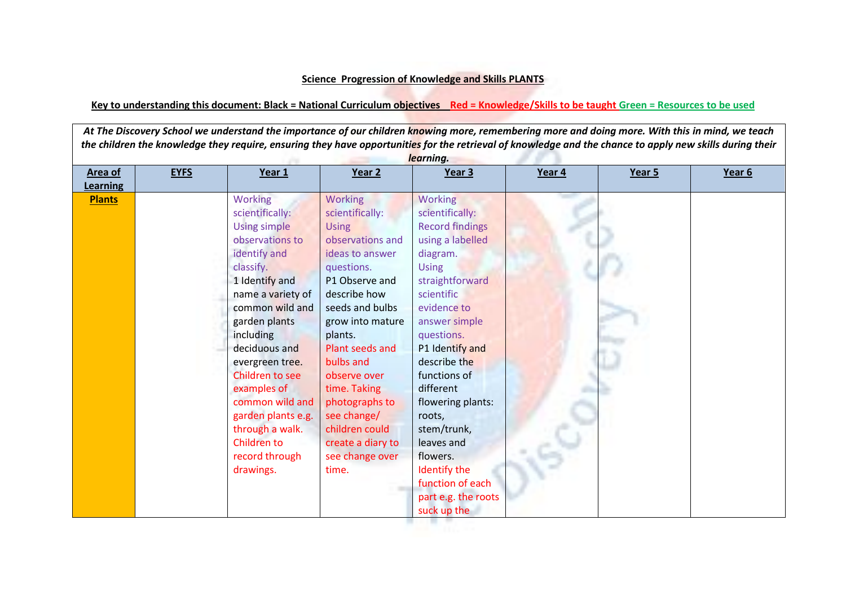## **Science Progression of Knowledge and Skills PLANTS**

## **Key to understanding this document: Black = National Curriculum objectives Red = Knowledge/Skills to be taught Green = Resources to be used**

*At The Discovery School we understand the importance of our children knowing more, remembering more and doing more. With this in mind, we teach the children the knowledge they require, ensuring they have opportunities for the retrieval of knowledge and the chance to apply new skills during their learning.* **Area of Learning EYFS Year 1 Year 2 Year 3 Year 4 Year 5 Year 6 Plants** Working scientifically: Using simple observations to identify and classify. 1 Identify and name a variety of common wild and garden plants including deciduous and evergreen tree. Children to see examples of common wild and garden plants e.g. through a walk. Children to record through drawings. Working scientifically: Using observations and ideas to answer questions. P1 Observe and describe how seeds and bulbs grow into mature plants. Plant seeds and bulbs and observe over time. Taking photographs to see change/ children could create a diary to see change over time. Working scientifically: Record findings using a labelled diagram. Using straightforward scientific evidence to answer simple questions. P1 Identify and describe the functions of different flowering plants: roots, stem/trunk, leaves and flowers. Identify the function of each part e.g. the roots suck up the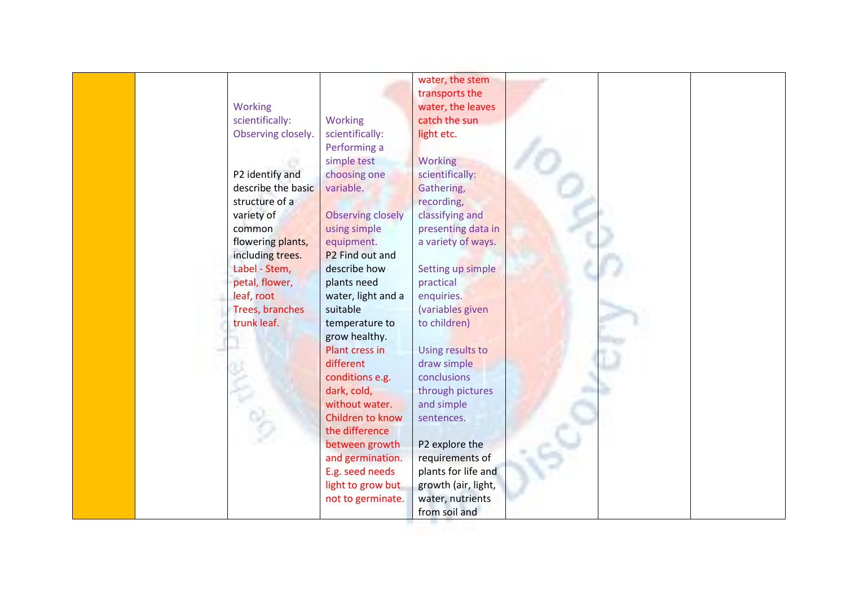|                    |                             | water, the stem     |  |
|--------------------|-----------------------------|---------------------|--|
|                    |                             | transports the      |  |
| Working            |                             | water, the leaves   |  |
| scientifically:    | <b>Working</b>              | catch the sun       |  |
| Observing closely. | scientifically:             | light etc.          |  |
|                    | Performing a                |                     |  |
|                    | simple test                 | Working             |  |
| P2 identify and    | choosing one                | scientifically:     |  |
| describe the basic | variable.                   | Gathering,          |  |
| structure of a     |                             | recording,          |  |
| variety of         | <b>Observing closely</b>    | classifying and     |  |
| common             | using simple                | presenting data in  |  |
| flowering plants,  | equipment.                  | a variety of ways.  |  |
| including trees.   | P <sub>2</sub> Find out and |                     |  |
| Label - Stem,      | describe how                | Setting up simple   |  |
| petal, flower,     | plants need                 | practical           |  |
| leaf, root         | water, light and a          | enquiries.          |  |
| Trees, branches    | suitable                    | (variables given    |  |
| trunk leaf.        | temperature to              | to children)        |  |
|                    | grow healthy.               |                     |  |
|                    | Plant cress in              | Using results to    |  |
|                    | different                   | draw simple         |  |
|                    | conditions e.g.             | conclusions         |  |
|                    | dark, cold,                 | through pictures    |  |
|                    | without water.              | and simple          |  |
|                    | Children to know            | sentences.          |  |
|                    | the difference              |                     |  |
|                    | between growth              | P2 explore the      |  |
|                    | and germination.            | requirements of     |  |
|                    | E.g. seed needs             | plants for life and |  |
|                    | light to grow but           | growth (air, light, |  |
|                    | not to germinate.           | water, nutrients    |  |
|                    |                             | from soil and       |  |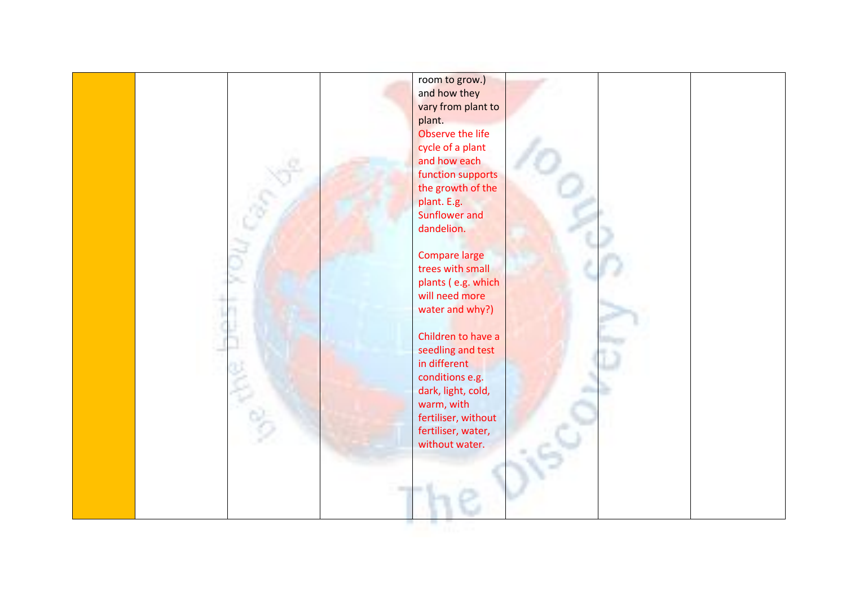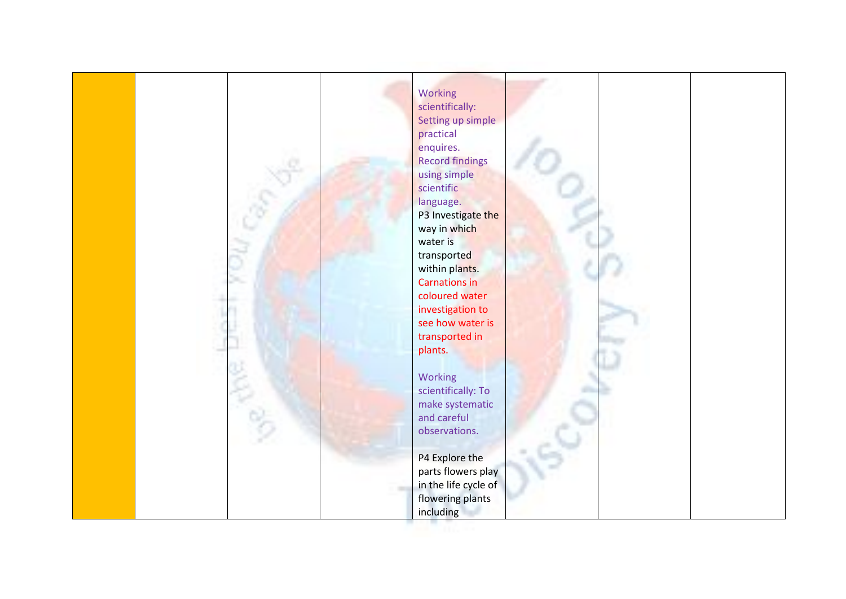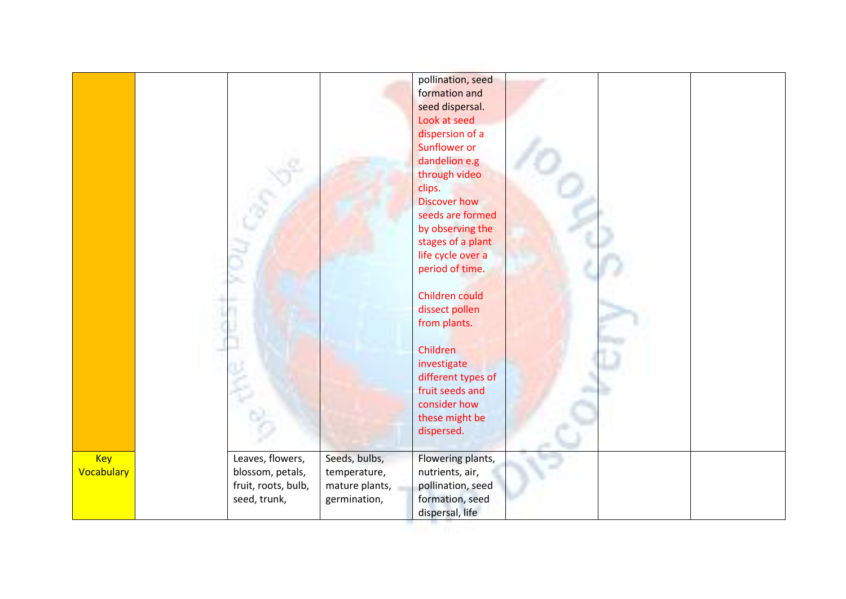|            |                     |                | pollination, seed   |
|------------|---------------------|----------------|---------------------|
|            |                     |                | formation and       |
|            |                     |                | seed dispersal.     |
|            |                     |                | Look at seed        |
|            |                     |                | dispersion of a     |
|            |                     |                | Sunflower or        |
|            |                     |                | dandelion e.g       |
|            |                     |                | through video       |
|            |                     |                | clips.              |
|            |                     |                | <b>Discover how</b> |
|            |                     |                | seeds are formed    |
|            |                     |                | by observing the    |
|            |                     |                | stages of a plant   |
|            |                     |                | life cycle over a   |
|            |                     |                | period of time.     |
|            |                     |                |                     |
|            |                     |                | Children could      |
|            |                     |                | dissect pollen      |
|            |                     |                | from plants.        |
|            |                     |                |                     |
|            |                     |                | Children            |
|            |                     |                | investigate         |
|            |                     |                | different types of  |
|            |                     |                | fruit seeds and     |
|            |                     |                | consider how        |
|            |                     |                | these might be      |
|            |                     |                | dispersed.          |
|            |                     |                |                     |
| Key        | Leaves, flowers,    | Seeds, bulbs,  | Flowering plants,   |
| Vocabulary | blossom, petals,    | temperature,   | nutrients, air,     |
|            | fruit, roots, bulb, | mature plants, | pollination, seed   |
|            | seed, trunk,        | germination,   | formation, seed     |
|            |                     |                | dispersal, life     |
|            |                     |                |                     |